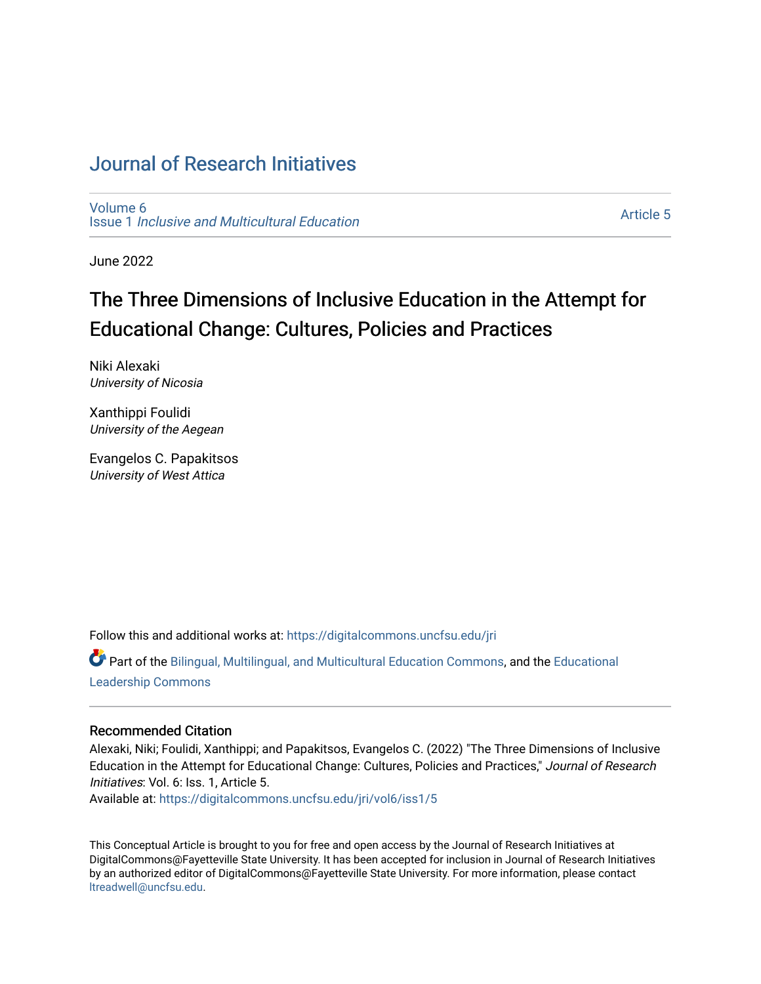### [Journal of Research Initiatives](https://digitalcommons.uncfsu.edu/jri)

[Volume 6](https://digitalcommons.uncfsu.edu/jri/vol6) Issue 1 [Inclusive and Multicultural Education](https://digitalcommons.uncfsu.edu/jri/vol6/iss1) 

[Article 5](https://digitalcommons.uncfsu.edu/jri/vol6/iss1/5) 

June 2022

# The Three Dimensions of Inclusive Education in the Attempt for Educational Change: Cultures, Policies and Practices

Niki Alexaki University of Nicosia

Xanthippi Foulidi University of the Aegean

Evangelos C. Papakitsos University of West Attica

Follow this and additional works at: [https://digitalcommons.uncfsu.edu/jri](https://digitalcommons.uncfsu.edu/jri?utm_source=digitalcommons.uncfsu.edu%2Fjri%2Fvol6%2Fiss1%2F5&utm_medium=PDF&utm_campaign=PDFCoverPages) 

Part of the [Bilingual, Multilingual, and Multicultural Education Commons,](https://network.bepress.com/hgg/discipline/785?utm_source=digitalcommons.uncfsu.edu%2Fjri%2Fvol6%2Fiss1%2F5&utm_medium=PDF&utm_campaign=PDFCoverPages) and the [Educational](https://network.bepress.com/hgg/discipline/1230?utm_source=digitalcommons.uncfsu.edu%2Fjri%2Fvol6%2Fiss1%2F5&utm_medium=PDF&utm_campaign=PDFCoverPages)  [Leadership Commons](https://network.bepress.com/hgg/discipline/1230?utm_source=digitalcommons.uncfsu.edu%2Fjri%2Fvol6%2Fiss1%2F5&utm_medium=PDF&utm_campaign=PDFCoverPages) 

### Recommended Citation

Alexaki, Niki; Foulidi, Xanthippi; and Papakitsos, Evangelos C. (2022) "The Three Dimensions of Inclusive Education in the Attempt for Educational Change: Cultures, Policies and Practices," Journal of Research Initiatives: Vol. 6: Iss. 1, Article 5.

Available at: [https://digitalcommons.uncfsu.edu/jri/vol6/iss1/5](https://digitalcommons.uncfsu.edu/jri/vol6/iss1/5?utm_source=digitalcommons.uncfsu.edu%2Fjri%2Fvol6%2Fiss1%2F5&utm_medium=PDF&utm_campaign=PDFCoverPages) 

This Conceptual Article is brought to you for free and open access by the Journal of Research Initiatives at DigitalCommons@Fayetteville State University. It has been accepted for inclusion in Journal of Research Initiatives by an authorized editor of DigitalCommons@Fayetteville State University. For more information, please contact [ltreadwell@uncfsu.edu](mailto:ltreadwell@uncfsu.edu).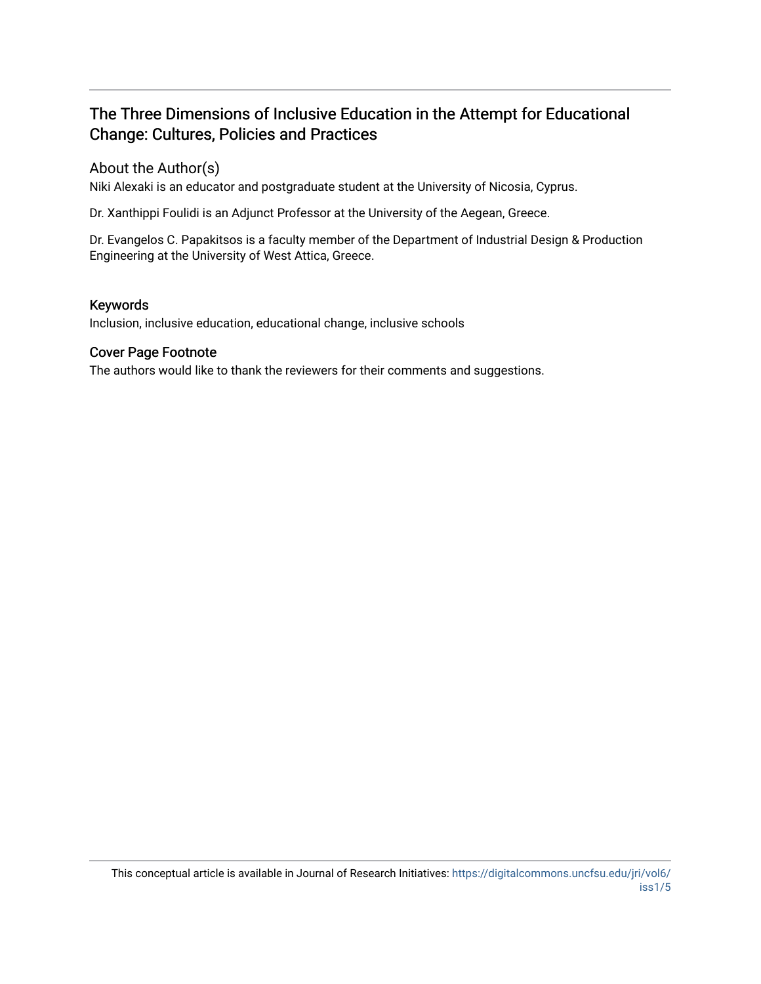### The Three Dimensions of Inclusive Education in the Attempt for Educational Change: Cultures, Policies and Practices

### About the Author(s)

Niki Alexaki is an educator and postgraduate student at the University of Nicosia, Cyprus.

Dr. Xanthippi Foulidi is an Adjunct Professor at the University of the Aegean, Greece.

Dr. Evangelos C. Papakitsos is a faculty member of the Department of Industrial Design & Production Engineering at the University of West Attica, Greece.

### Keywords

Inclusion, inclusive education, educational change, inclusive schools

### Cover Page Footnote

The authors would like to thank the reviewers for their comments and suggestions.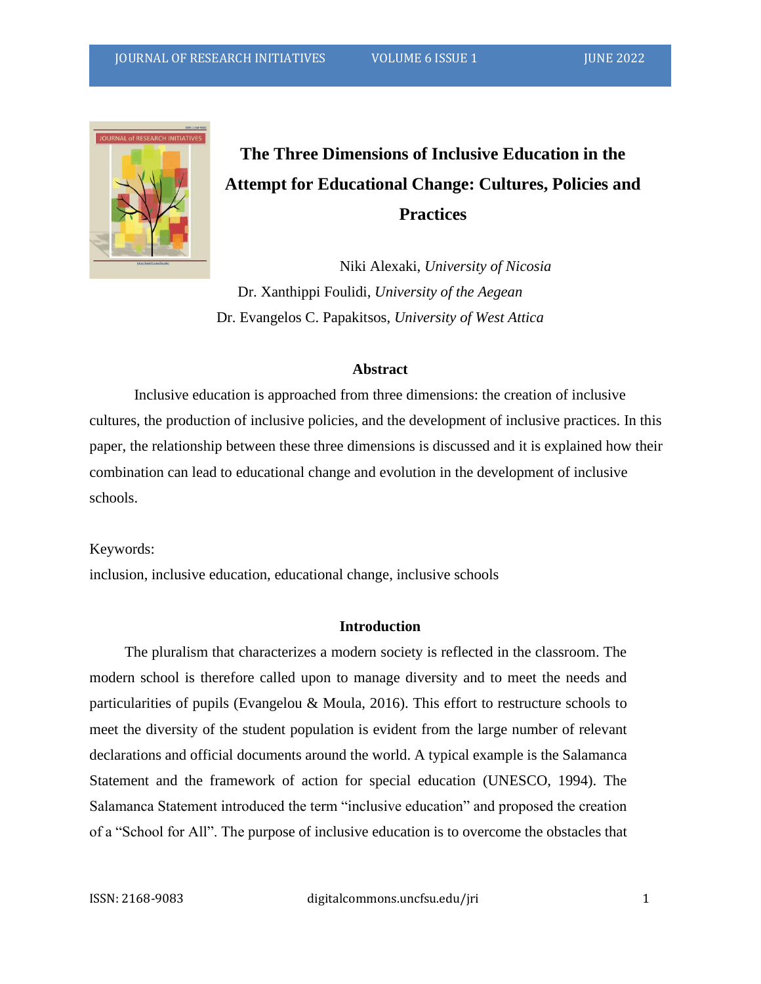

## **The Three Dimensions of Inclusive Education in the Attempt for Educational Change: Cultures, Policies and Practices**

Niki Alexaki, *University of Nicosia* Dr. Xanthippi Foulidi, *University of the Aegean* Dr. Evangelos C. Papakitsos, *University of West Attica*

### **Abstract**

Inclusive education is approached from three dimensions: the creation of inclusive cultures, the production of inclusive policies, and the development of inclusive practices. In this paper, the relationship between these three dimensions is discussed and it is explained how their combination can lead to educational change and evolution in the development of inclusive schools.

Keywords:

inclusion, inclusive education, educational change, inclusive schools

### **Introduction**

The pluralism that characterizes a modern society is reflected in the classroom. The modern school is therefore called upon to manage diversity and to meet the needs and particularities of pupils (Evangelou & Moula, 2016). This effort to restructure schools to meet the diversity of the student population is evident from the large number of relevant declarations and official documents around the world. A typical example is the Salamanca Statement and the framework of action for special education (UNESCO, 1994). The Salamanca Statement introduced the term "inclusive education" and proposed the creation of a "School for All". The purpose of inclusive education is to overcome the obstacles that

ISSN: 2168-9083 digitalcommons.uncfsu.edu/jri 1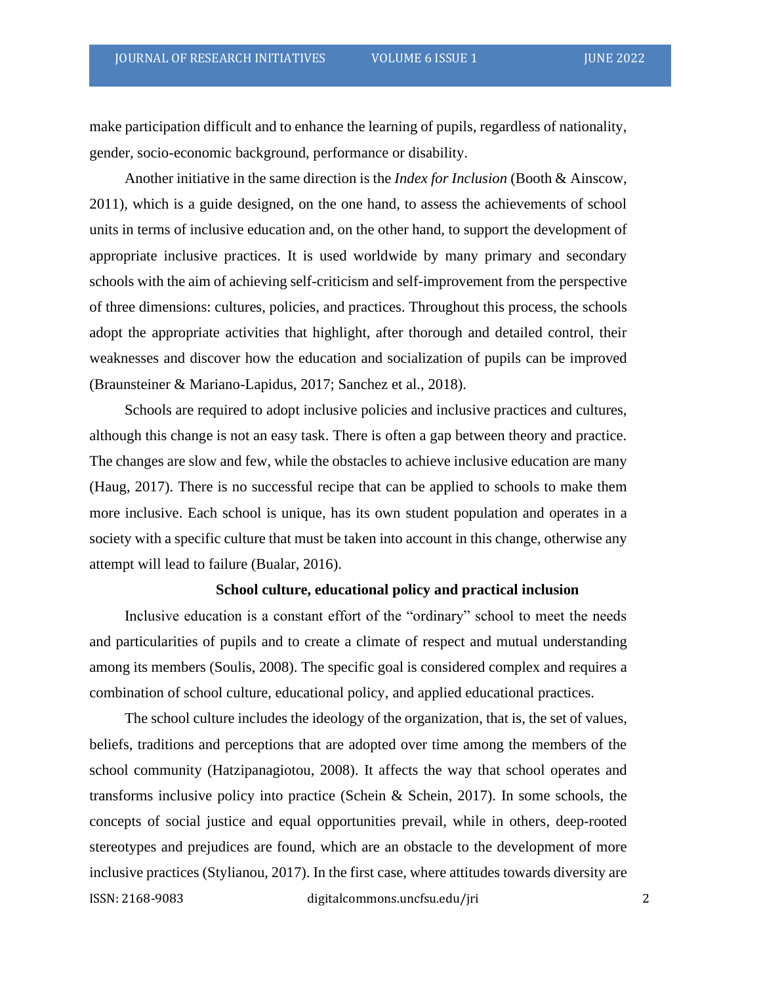make participation difficult and to enhance the learning of pupils, regardless of nationality, gender, socio-economic background, performance or disability.

Another initiative in the same direction is the *Index for Inclusion* (Booth & Ainscow, 2011), which is a guide designed, on the one hand, to assess the achievements of school units in terms of inclusive education and, on the other hand, to support the development of appropriate inclusive practices. It is used worldwide by many primary and secondary schools with the aim of achieving self-criticism and self-improvement from the perspective of three dimensions: cultures, policies, and practices. Throughout this process, the schools adopt the appropriate activities that highlight, after thorough and detailed control, their weaknesses and discover how the education and socialization of pupils can be improved (Braunsteiner & Mariano-Lapidus, 2017; Sanchez et al., 2018).

Schools are required to adopt inclusive policies and inclusive practices and cultures, although this change is not an easy task. There is often a gap between theory and practice. The changes are slow and few, while the obstacles to achieve inclusive education are many (Haug, 2017). There is no successful recipe that can be applied to schools to make them more inclusive. Each school is unique, has its own student population and operates in a society with a specific culture that must be taken into account in this change, otherwise any attempt will lead to failure (Bualar, 2016).

### **School culture, educational policy and practical inclusion**

Inclusive education is a constant effort of the "ordinary" school to meet the needs and particularities of pupils and to create a climate of respect and mutual understanding among its members (Soulis, 2008). The specific goal is considered complex and requires a combination of school culture, educational policy, and applied educational practices.

ISSN: 2168-9083 digitalcommons.uncfsu.edu/jri 2 The school culture includes the ideology of the organization, that is, the set of values, beliefs, traditions and perceptions that are adopted over time among the members of the school community (Hatzipanagiotou, 2008). It affects the way that school operates and transforms inclusive policy into practice (Schein & Schein, 2017). In some schools, the concepts of social justice and equal opportunities prevail, while in others, deep-rooted stereotypes and prejudices are found, which are an obstacle to the development of more inclusive practices (Stylianou, 2017). In the first case, where attitudes towards diversity are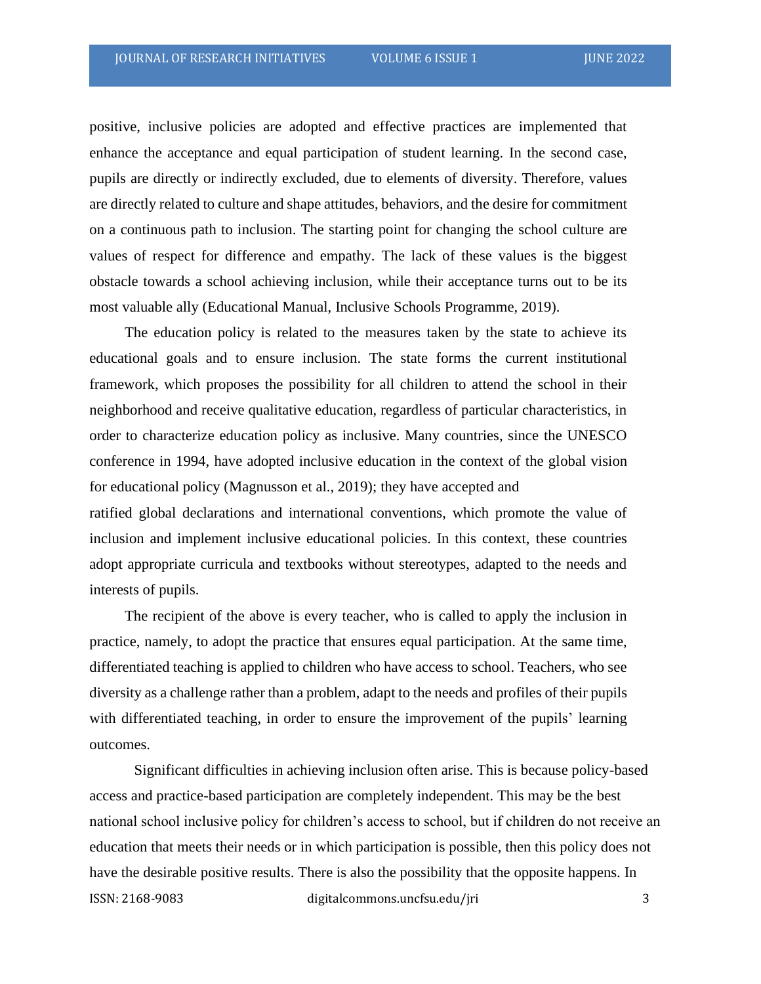positive, inclusive policies are adopted and effective practices are implemented that enhance the acceptance and equal participation of student learning. In the second case, pupils are directly or indirectly excluded, due to elements of diversity. Therefore, values are directly related to culture and shape attitudes, behaviors, and the desire for commitment on a continuous path to inclusion. The starting point for changing the school culture are values of respect for difference and empathy. The lack of these values is the biggest obstacle towards a school achieving inclusion, while their acceptance turns out to be its most valuable ally (Educational Manual, Inclusive Schools Programme, 2019).

The education policy is related to the measures taken by the state to achieve its educational goals and to ensure inclusion. The state forms the current institutional framework, which proposes the possibility for all children to attend the school in their neighborhood and receive qualitative education, regardless of particular characteristics, in order to characterize education policy as inclusive. Many countries, since the UNESCO conference in 1994, have adopted inclusive education in the context of the global vision for educational policy (Magnusson et al., 2019); they have accepted and ratified global declarations and international conventions, which promote the value of

inclusion and implement inclusive educational policies. In this context, these countries adopt appropriate curricula and textbooks without stereotypes, adapted to the needs and interests of pupils.

The recipient of the above is every teacher, who is called to apply the inclusion in practice, namely, to adopt the practice that ensures equal participation. At the same time, differentiated teaching is applied to children who have access to school. Teachers, who see diversity as a challenge rather than a problem, adapt to the needs and profiles of their pupils with differentiated teaching, in order to ensure the improvement of the pupils' learning outcomes.

ISSN: 2168-9083 digitalcommons.uncfsu.edu/jri 3 Significant difficulties in achieving inclusion often arise. This is because policy-based access and practice-based participation are completely independent. This may be the best national school inclusive policy for children's access to school, but if children do not receive an education that meets their needs or in which participation is possible, then this policy does not have the desirable positive results. There is also the possibility that the opposite happens. In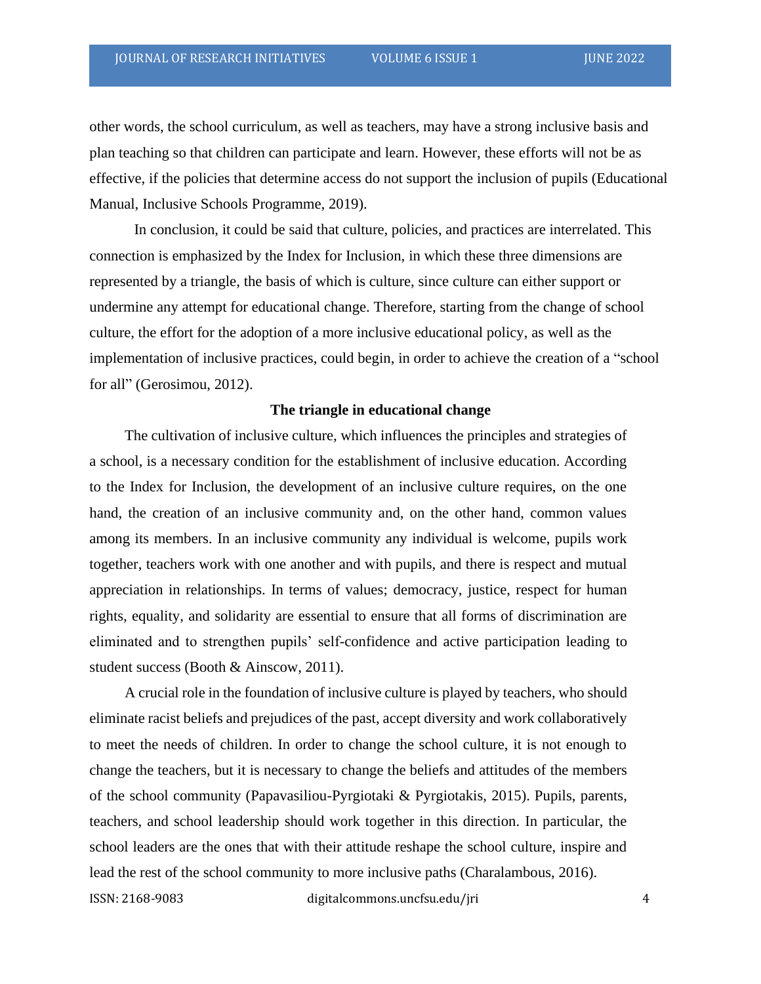other words, the school curriculum, as well as teachers, may have a strong inclusive basis and plan teaching so that children can participate and learn. However, these efforts will not be as effective, if the policies that determine access do not support the inclusion of pupils (Educational Manual, Inclusive Schools Programme, 2019).

In conclusion, it could be said that culture, policies, and practices are interrelated. This connection is emphasized by the Index for Inclusion, in which these three dimensions are represented by a triangle, the basis of which is culture, since culture can either support or undermine any attempt for educational change. Therefore, starting from the change of school culture, the effort for the adoption of a more inclusive educational policy, as well as the implementation of inclusive practices, could begin, in order to achieve the creation of a "school for all" (Gerosimou, 2012).

### **The triangle in educational change**

The cultivation of inclusive culture, which influences the principles and strategies of a school, is a necessary condition for the establishment of inclusive education. According to the Index for Inclusion, the development of an inclusive culture requires, on the one hand, the creation of an inclusive community and, on the other hand, common values among its members. In an inclusive community any individual is welcome, pupils work together, teachers work with one another and with pupils, and there is respect and mutual appreciation in relationships. In terms of values; democracy, justice, respect for human rights, equality, and solidarity are essential to ensure that all forms of discrimination are eliminated and to strengthen pupils' self-confidence and active participation leading to student success (Booth & Ainscow, 2011).

A crucial role in the foundation of inclusive culture is played by teachers, who should eliminate racist beliefs and prejudices of the past, accept diversity and work collaboratively to meet the needs of children. In order to change the school culture, it is not enough to change the teachers, but it is necessary to change the beliefs and attitudes of the members of the school community (Papavasiliou-Pyrgiotaki & Pyrgiotakis, 2015). Pupils, parents, teachers, and school leadership should work together in this direction. In particular, the school leaders are the ones that with their attitude reshape the school culture, inspire and lead the rest of the school community to more inclusive paths (Charalambous, 2016).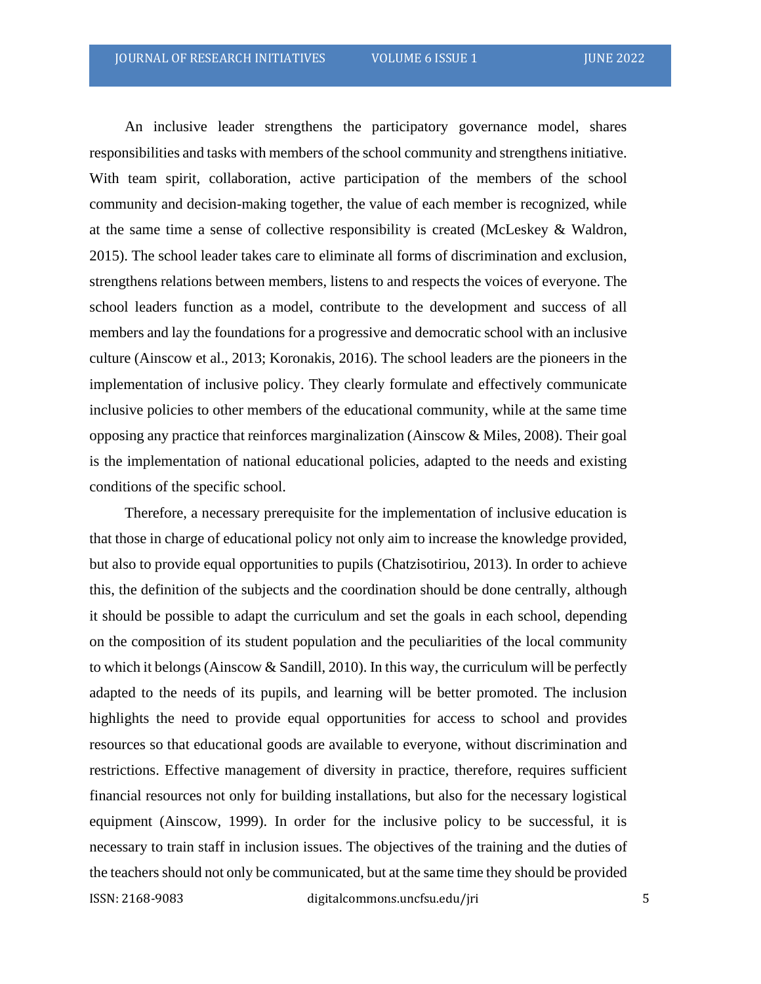An inclusive leader strengthens the participatory governance model, shares responsibilities and tasks with members of the school community and strengthens initiative. With team spirit, collaboration, active participation of the members of the school community and decision-making together, the value of each member is recognized, while at the same time a sense of collective responsibility is created (McLeskey & Waldron, 2015). The school leader takes care to eliminate all forms of discrimination and exclusion, strengthens relations between members, listens to and respects the voices of everyone. The school leaders function as a model, contribute to the development and success of all members and lay the foundations for a progressive and democratic school with an inclusive culture (Ainscow et al., 2013; Koronakis, 2016). The school leaders are the pioneers in the implementation of inclusive policy. They clearly formulate and effectively communicate inclusive policies to other members of the educational community, while at the same time opposing any practice that reinforces marginalization (Ainscow & Miles, 2008). Their goal is the implementation of national educational policies, adapted to the needs and existing conditions of the specific school.

ISSN: 2168-9083 digitalcommons.uncfsu.edu/jri 5 Therefore, a necessary prerequisite for the implementation of inclusive education is that those in charge of educational policy not only aim to increase the knowledge provided, but also to provide equal opportunities to pupils (Chatzisotiriou, 2013). In order to achieve this, the definition of the subjects and the coordination should be done centrally, although it should be possible to adapt the curriculum and set the goals in each school, depending on the composition of its student population and the peculiarities of the local community to which it belongs (Ainscow & Sandill, 2010). In this way, the curriculum will be perfectly adapted to the needs of its pupils, and learning will be better promoted. The inclusion highlights the need to provide equal opportunities for access to school and provides resources so that educational goods are available to everyone, without discrimination and restrictions. Effective management of diversity in practice, therefore, requires sufficient financial resources not only for building installations, but also for the necessary logistical equipment (Ainscow, 1999). In order for the inclusive policy to be successful, it is necessary to train staff in inclusion issues. The objectives of the training and the duties of the teachers should not only be communicated, but at the same time they should be provided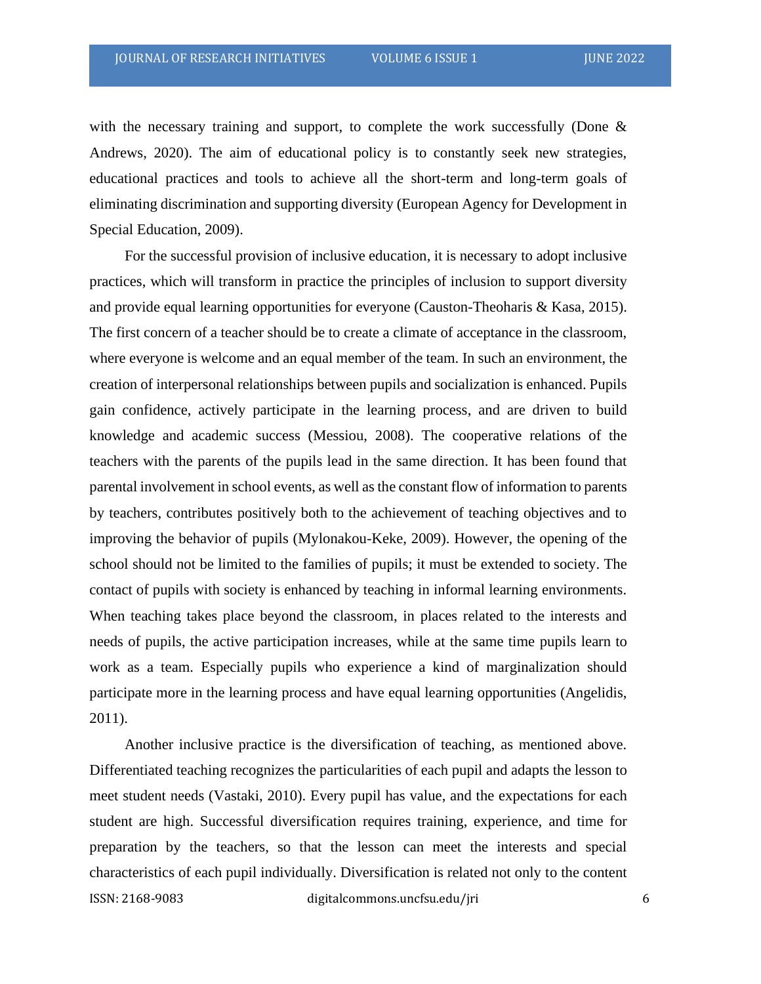with the necessary training and support, to complete the work successfully (Done  $\&$ Andrews, 2020). The aim of educational policy is to constantly seek new strategies, educational practices and tools to achieve all the short-term and long-term goals of eliminating discrimination and supporting diversity (European Agency for Development in Special Education, 2009).

For the successful provision of inclusive education, it is necessary to adopt inclusive practices, which will transform in practice the principles of inclusion to support diversity and provide equal learning opportunities for everyone (Causton-Theoharis & Kasa, 2015). The first concern of a teacher should be to create a climate of acceptance in the classroom, where everyone is welcome and an equal member of the team. In such an environment, the creation of interpersonal relationships between pupils and socialization is enhanced. Pupils gain confidence, actively participate in the learning process, and are driven to build knowledge and academic success (Messiou, 2008). The cooperative relations of the teachers with the parents of the pupils lead in the same direction. It has been found that parental involvement in school events, as well asthe constant flow of information to parents by teachers, contributes positively both to the achievement of teaching objectives and to improving the behavior of pupils (Mylonakou-Keke, 2009). However, the opening of the school should not be limited to the families of pupils; it must be extended to society. The contact of pupils with society is enhanced by teaching in informal learning environments. When teaching takes place beyond the classroom, in places related to the interests and needs of pupils, the active participation increases, while at the same time pupils learn to work as a team. Especially pupils who experience a kind of marginalization should participate more in the learning process and have equal learning opportunities (Angelidis, 2011).

ISSN: 2168-9083 digitalcommons.uncfsu.edu/jri 6 Another inclusive practice is the diversification of teaching, as mentioned above. Differentiated teaching recognizes the particularities of each pupil and adapts the lesson to meet student needs (Vastaki, 2010). Every pupil has value, and the expectations for each student are high. Successful diversification requires training, experience, and time for preparation by the teachers, so that the lesson can meet the interests and special characteristics of each pupil individually. Diversification is related not only to the content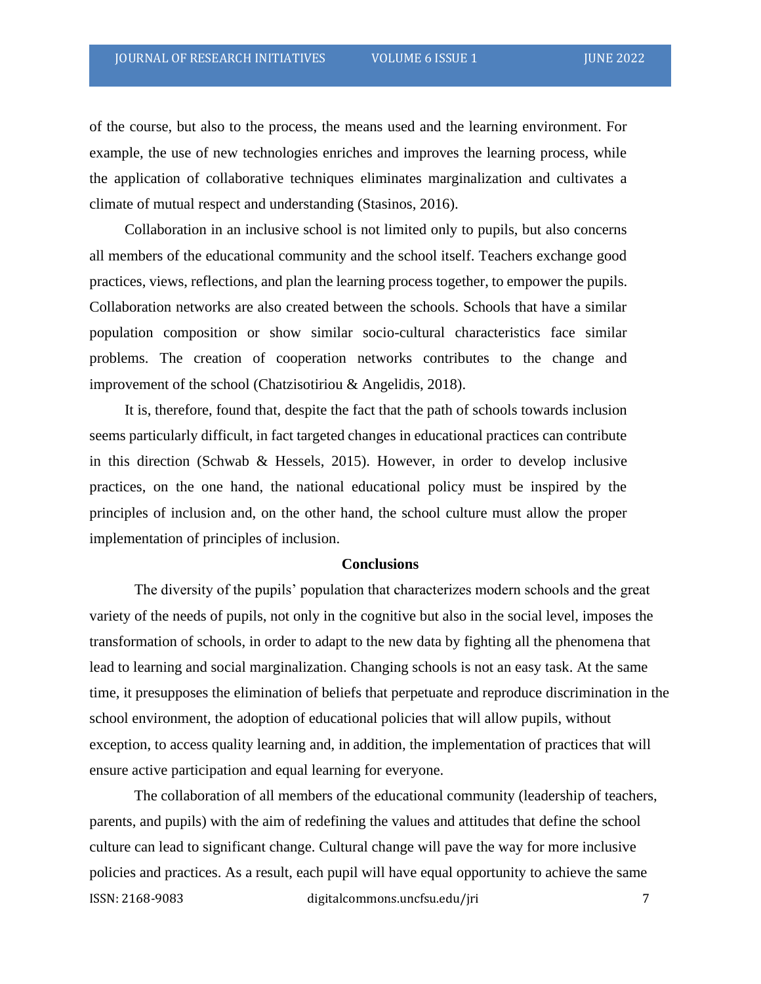of the course, but also to the process, the means used and the learning environment. For example, the use of new technologies enriches and improves the learning process, while the application of collaborative techniques eliminates marginalization and cultivates a climate of mutual respect and understanding (Stasinos, 2016).

Collaboration in an inclusive school is not limited only to pupils, but also concerns all members of the educational community and the school itself. Teachers exchange good practices, views, reflections, and plan the learning process together, to empower the pupils. Collaboration networks are also created between the schools. Schools that have a similar population composition or show similar socio-cultural characteristics face similar problems. The creation of cooperation networks contributes to the change and improvement of the school (Chatzisotiriou & Angelidis, 2018).

It is, therefore, found that, despite the fact that the path of schools towards inclusion seems particularly difficult, in fact targeted changes in educational practices can contribute in this direction (Schwab & Hessels, 2015). However, in order to develop inclusive practices, on the one hand, the national educational policy must be inspired by the principles of inclusion and, on the other hand, the school culture must allow the proper implementation of principles of inclusion.

#### **Conclusions**

The diversity of the pupils' population that characterizes modern schools and the great variety of the needs of pupils, not only in the cognitive but also in the social level, imposes the transformation of schools, in order to adapt to the new data by fighting all the phenomena that lead to learning and social marginalization. Changing schools is not an easy task. At the same time, it presupposes the elimination of beliefs that perpetuate and reproduce discrimination in the school environment, the adoption of educational policies that will allow pupils, without exception, to access quality learning and, in addition, the implementation of practices that will ensure active participation and equal learning for everyone.

ISSN: 2168-9083 digitalcommons.uncfsu.edu/jri 7 The collaboration of all members of the educational community (leadership of teachers, parents, and pupils) with the aim of redefining the values and attitudes that define the school culture can lead to significant change. Cultural change will pave the way for more inclusive policies and practices. As a result, each pupil will have equal opportunity to achieve the same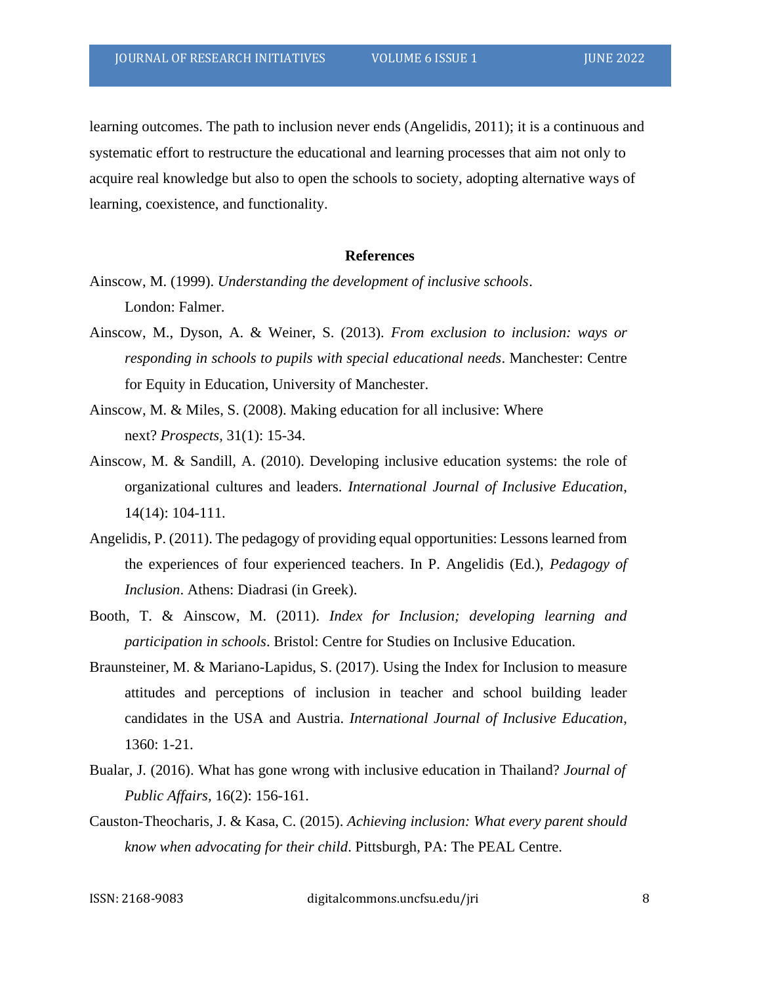learning outcomes. The path to inclusion never ends (Angelidis, 2011); it is a continuous and systematic effort to restructure the educational and learning processes that aim not only to acquire real knowledge but also to open the schools to society, adopting alternative ways of learning, coexistence, and functionality.

#### **References**

- Ainscow, M. (1999). *Understanding the development of inclusive schools*. London: Falmer.
- Ainscow, M., Dyson, A. & Weiner, S. (2013). *From exclusion to inclusion: ways or responding in schools to pupils with special educational needs*. Manchester: Centre for Equity in Education, University of Manchester.
- Ainscow, M. & Miles, S. (2008). Making education for all inclusive: Where next? *Prospects*, 31(1): 15-34.
- Ainscow, M. & Sandill, A. (2010). Developing inclusive education systems: the role of organizational cultures and leaders. *International Journal of Inclusive Education*, 14(14): 104-111.
- Angelidis, P. (2011). The pedagogy of providing equal opportunities: Lessons learned from the experiences of four experienced teachers. In P. Angelidis (Ed.), *Pedagogy of Inclusion*. Athens: Diadrasi (in Greek).
- Booth, T. & Ainscow, M. (2011). *Index for Inclusion; developing learning and participation in schools*. Bristol: Centre for Studies on Inclusive Education.
- Braunsteiner, M. & Mariano-Lapidus, S. (2017). Using the Index for Inclusion to measure attitudes and perceptions of inclusion in teacher and school building leader candidates in the USA and Austria. *International Journal of Inclusive Education*, 1360: 1-21.
- Bualar, J. (2016). What has gone wrong with inclusive education in Thailand? *Journal of Public Affairs,* 16(2): 156-161.
- Causton-Theocharis, J. & Kasa, C. (2015). *Achieving inclusion: What every parent should know when advocating for their child*. Pittsburgh, PA: The PEAL Centre.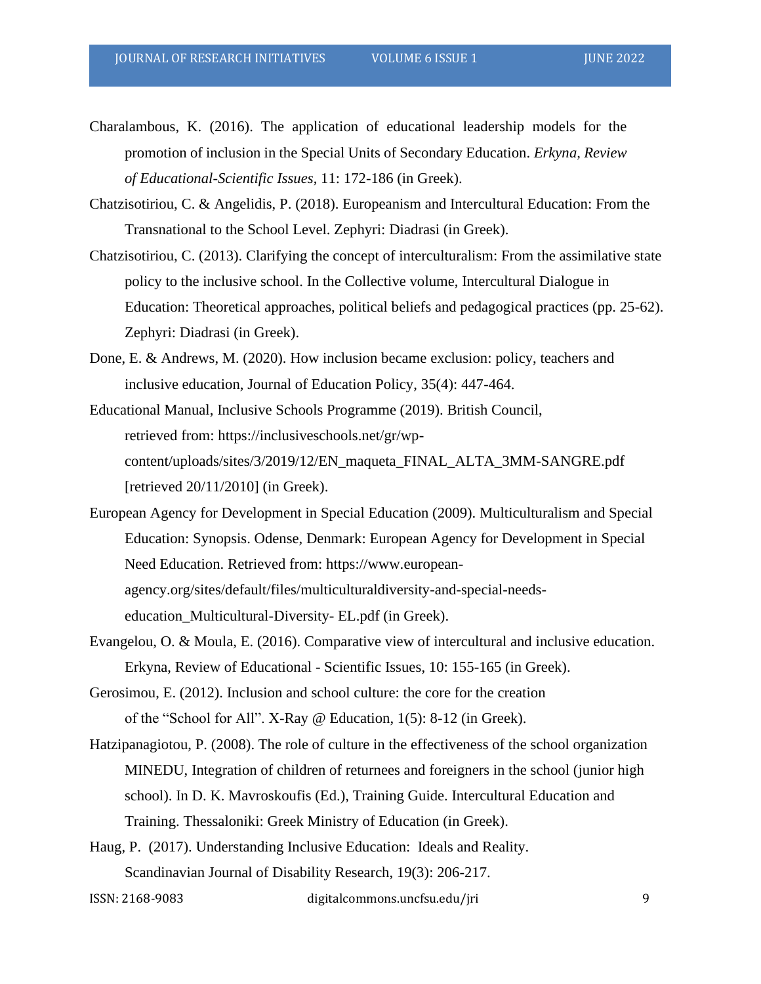- Charalambous, K. (2016). The application of educational leadership models for the promotion of inclusion in the Special Units of Secondary Education. *Erkyna, Review of Educational-Scientific Issues*, 11: 172-186 (in Greek).
- Chatzisotiriou, C. & Angelidis, P. (2018). Europeanism and Intercultural Education: From the Transnational to the School Level. Zephyri: Diadrasi (in Greek).
- Chatzisotiriou, C. (2013). Clarifying the concept of interculturalism: From the assimilative state policy to the inclusive school. In the Collective volume, Intercultural Dialogue in Education: Theoretical approaches, political beliefs and pedagogical practices (pp. 25-62). Zephyri: Diadrasi (in Greek).
- Done, E. & Andrews, M. (2020). How inclusion became exclusion: policy, teachers and inclusive education, Journal of Education Policy, 35(4): 447-464.
- Educational Manual, Inclusive Schools Programme (2019). British Council, retrieved from: https://inclusiveschools.net/gr/wpcontent/uploads/sites/3/2019/12/EN\_maqueta\_FINAL\_ALTA\_3MM-SANGRE.pdf [retrieved 20/11/2010] (in Greek).
- European Agency for Development in Special Education (2009). Multiculturalism and Special Education: Synopsis. Odense, Denmark: European Agency for Development in Special Need Education. Retrieved from: https://www.europeanagency.org/sites/default/files/multiculturaldiversity-and-special-needseducation\_Multicultural-Diversity- EL.pdf (in Greek).
- Evangelou, O. & Moula, E. (2016). Comparative view of intercultural and inclusive education. Erkyna, Review of Educational - Scientific Issues, 10: 155-165 (in Greek).
- Gerosimou, E. (2012). Inclusion and school culture: the core for the creation of the "School for All". X-Ray @ Education, 1(5): 8-12 (in Greek).
- Hatzipanagiotou, P. (2008). The role of culture in the effectiveness of the school organization MINEDU, Integration of children of returnees and foreigners in the school (junior high school). In D. K. Mavroskoufis (Ed.), Training Guide. Intercultural Education and Training. Thessaloniki: Greek Ministry of Education (in Greek).
- Haug, P. (2017). Understanding Inclusive Education: Ideals and Reality. Scandinavian Journal of Disability Research, 19(3): 206-217.
- ISSN: 2168-9083 digitalcommons.uncfsu.edu/jri 9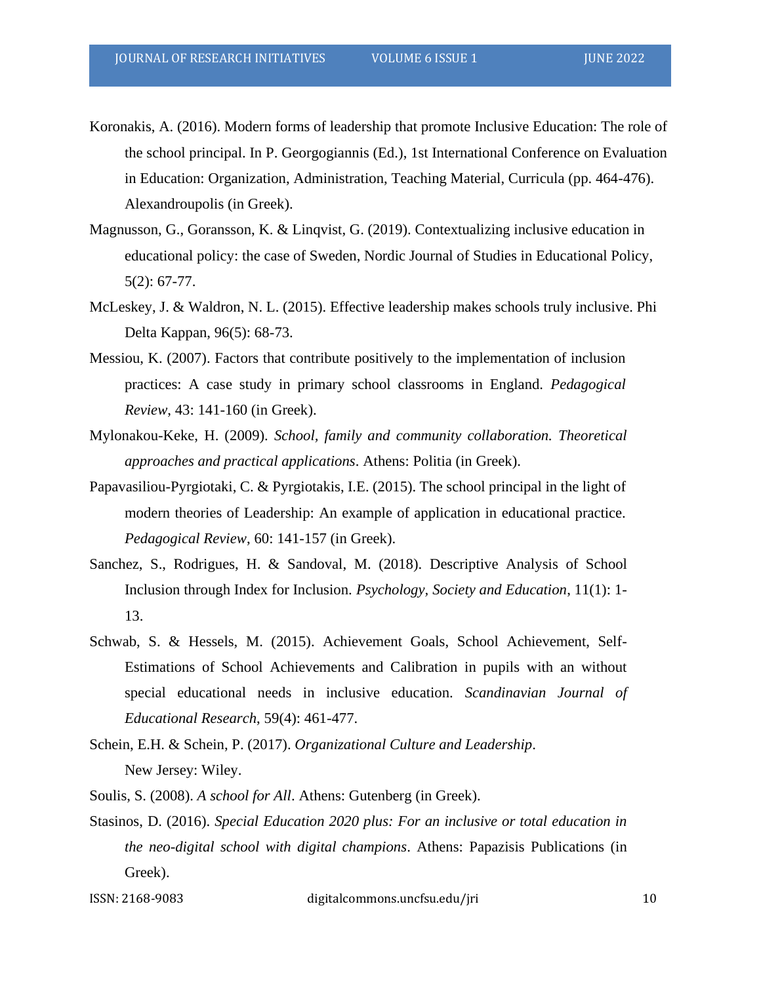- Koronakis, A. (2016). Modern forms of leadership that promote Inclusive Education: The role of the school principal. In P. Georgogiannis (Ed.), 1st International Conference on Evaluation in Education: Organization, Administration, Teaching Material, Curricula (pp. 464-476). Alexandroupolis (in Greek).
- Magnusson, G., Goransson, K. & Linqvist, G. (2019). Contextualizing inclusive education in educational policy: the case of Sweden, Nordic Journal of Studies in Educational Policy, 5(2): 67-77.
- McLeskey, J. & Waldron, N. L. (2015). Effective leadership makes schools truly inclusive. Phi Delta Kappan, 96(5): 68-73.
- Messiou, K. (2007). Factors that contribute positively to the implementation of inclusion practices: A case study in primary school classrooms in England. *Pedagogical Review*, 43: 141-160 (in Greek).
- Mylonakou-Keke, H. (2009). *School, family and community collaboration. Theoretical approaches and practical applications*. Athens: Politia (in Greek).
- Papavasiliou-Pyrgiotaki, C. & Pyrgiotakis, I.E. (2015). The school principal in the light of modern theories of Leadership: An example of application in educational practice. *Pedagogical Review*, 60: 141-157 (in Greek).
- Sanchez, S., Rodrigues, H. & Sandoval, M. (2018). Descriptive Analysis of School Inclusion through Index for Inclusion. *Psychology, Society and Education*, 11(1): 1- 13.
- Schwab, S. & Hessels, M. (2015). Achievement Goals, School Achievement, Self-Estimations of School Achievements and Calibration in pupils with an without special educational needs in inclusive education. *Scandinavian Journal of Educational Research*, 59(4): 461-477.
- Schein, E.H. & Schein, P. (2017). *Organizational Culture and Leadership*. New Jersey: Wiley.
- Soulis, S. (2008). *A school for All*. Athens: Gutenberg (in Greek).
- Stasinos, D. (2016). *Special Education 2020 plus: For an inclusive or total education in the neo-digital school with digital champions*. Athens: Papazisis Publications (in Greek).